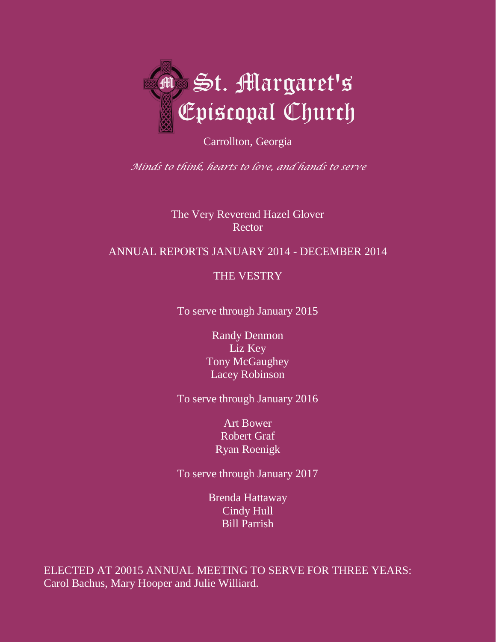

Carrollton, Georgia

*Minds to think, hearts to love, and hands to serve*

The Very Reverend Hazel Glover **Rector** 

# ANNUAL REPORTS JANUARY 2014 - DECEMBER 2014

# THE VESTRY

To serve through January 2015

Randy Denmon Liz Key Tony McGaughey Lacey Robinson

To serve through January 2016

Art Bower Robert Graf Ryan Roenigk

To serve through January 2017

Brenda Hattaway Cindy Hull Bill Parrish

ELECTED AT 20015 ANNUAL MEETING TO SERVE FOR THREE YEARS: Carol Bachus, Mary Hooper and Julie Williard.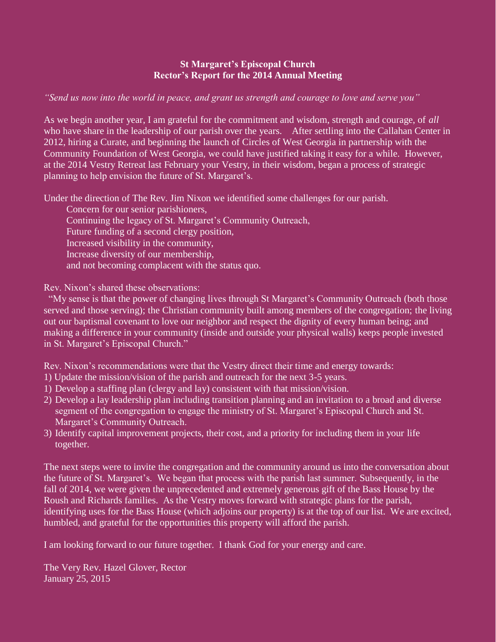### **St Margaret's Episcopal Church Rector's Report for the 2014 Annual Meeting**

*"Send us now into the world in peace, and grant us strength and courage to love and serve you"* 

As we begin another year, I am grateful for the commitment and wisdom, strength and courage, of *all*  who have share in the leadership of our parish over the years. After settling into the Callahan Center in 2012, hiring a Curate, and beginning the launch of Circles of West Georgia in partnership with the Community Foundation of West Georgia, we could have justified taking it easy for a while. However, at the 2014 Vestry Retreat last February your Vestry, in their wisdom, began a process of strategic planning to help envision the future of St. Margaret's.

Under the direction of The Rev. Jim Nixon we identified some challenges for our parish.

Concern for our senior parishioners, Continuing the legacy of St. Margaret's Community Outreach, Future funding of a second clergy position, Increased visibility in the community, Increase diversity of our membership, and not becoming complacent with the status quo.

Rev. Nixon's shared these observations:

 "My sense is that the power of changing lives through St Margaret's Community Outreach (both those served and those serving); the Christian community built among members of the congregation; the living out our baptismal covenant to love our neighbor and respect the dignity of every human being; and making a difference in your community (inside and outside your physical walls) keeps people invested in St. Margaret's Episcopal Church."

Rev. Nixon's recommendations were that the Vestry direct their time and energy towards:

- 1) Update the mission/vision of the parish and outreach for the next 3-5 years.
- 1) Develop a staffing plan (clergy and lay) consistent with that mission/vision.
- 2) Develop a lay leadership plan including transition planning and an invitation to a broad and diverse segment of the congregation to engage the ministry of St. Margaret's Episcopal Church and St. Margaret's Community Outreach.
- 3) Identify capital improvement projects, their cost, and a priority for including them in your life together.

The next steps were to invite the congregation and the community around us into the conversation about the future of St. Margaret's. We began that process with the parish last summer. Subsequently, in the fall of 2014, we were given the unprecedented and extremely generous gift of the Bass House by the Roush and Richards families. As the Vestry moves forward with strategic plans for the parish, identifying uses for the Bass House (which adjoins our property) is at the top of our list. We are excited, humbled, and grateful for the opportunities this property will afford the parish.

I am looking forward to our future together. I thank God for your energy and care.

The Very Rev. Hazel Glover, Rector January 25, 2015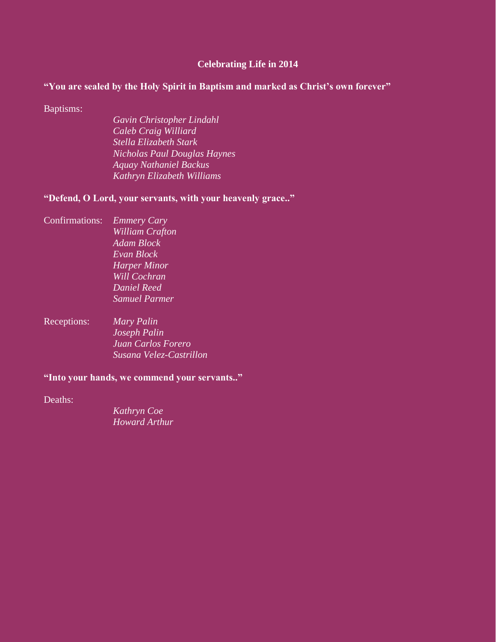#### **Celebrating Life in 2014**

#### **"You are sealed by the Holy Spirit in Baptism and marked as Christ's own forever"**

Baptisms:

*Gavin Christopher Lindahl Caleb Craig Williard Stella Elizabeth Stark Nicholas Paul Douglas Haynes Aquay Nathaniel Backus Kathryn Elizabeth Williams*

**"Defend, O Lord, your servants, with your heavenly grace.."**

- Confirmations: *Emmery Cary William Crafton Adam Block Evan Block Harper Minor Will Cochran Daniel Reed Samuel Parmer*
- Receptions: *Mary Palin Joseph Palin Juan Carlos Forero Susana Velez-Castrillon*

#### **"Into your hands, we commend your servants.."**

Deaths:

*Kathryn Coe Howard Arthur*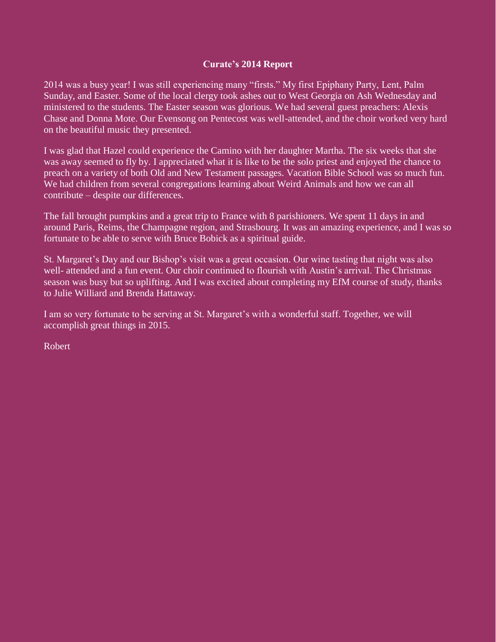### **Curate's 2014 Report**

2014 was a busy year! I was still experiencing many "firsts." My first Epiphany Party, Lent, Palm Sunday, and Easter. Some of the local clergy took ashes out to West Georgia on Ash Wednesday and ministered to the students. The Easter season was glorious. We had several guest preachers: Alexis Chase and Donna Mote. Our Evensong on Pentecost was well-attended, and the choir worked very hard on the beautiful music they presented.

I was glad that Hazel could experience the Camino with her daughter Martha. The six weeks that she was away seemed to fly by. I appreciated what it is like to be the solo priest and enjoyed the chance to preach on a variety of both Old and New Testament passages. Vacation Bible School was so much fun. We had children from several congregations learning about Weird Animals and how we can all contribute – despite our differences.

The fall brought pumpkins and a great trip to France with 8 parishioners. We spent 11 days in and around Paris, Reims, the Champagne region, and Strasbourg. It was an amazing experience, and I was so fortunate to be able to serve with Bruce Bobick as a spiritual guide.

St. Margaret's Day and our Bishop's visit was a great occasion. Our wine tasting that night was also well- attended and a fun event. Our choir continued to flourish with Austin's arrival. The Christmas season was busy but so uplifting. And I was excited about completing my EfM course of study, thanks to Julie Williard and Brenda Hattaway.

I am so very fortunate to be serving at St. Margaret's with a wonderful staff. Together, we will accomplish great things in 2015.

Robert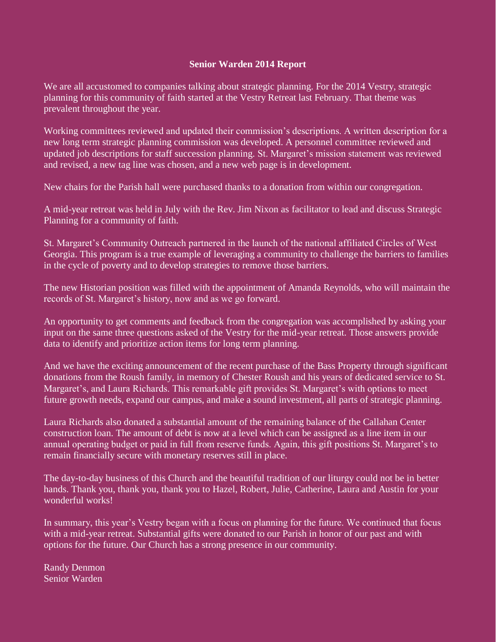#### **Senior Warden 2014 Report**

We are all accustomed to companies talking about strategic planning. For the 2014 Vestry, strategic planning for this community of faith started at the Vestry Retreat last February. That theme was prevalent throughout the year.

Working committees reviewed and updated their commission's descriptions. A written description for a new long term strategic planning commission was developed. A personnel committee reviewed and updated job descriptions for staff succession planning. St. Margaret's mission statement was reviewed and revised, a new tag line was chosen, and a new web page is in development.

New chairs for the Parish hall were purchased thanks to a donation from within our congregation.

A mid-year retreat was held in July with the Rev. Jim Nixon as facilitator to lead and discuss Strategic Planning for a community of faith.

St. Margaret's Community Outreach partnered in the launch of the national affiliated Circles of West Georgia. This program is a true example of leveraging a community to challenge the barriers to families in the cycle of poverty and to develop strategies to remove those barriers.

The new Historian position was filled with the appointment of Amanda Reynolds, who will maintain the records of St. Margaret's history, now and as we go forward.

An opportunity to get comments and feedback from the congregation was accomplished by asking your input on the same three questions asked of the Vestry for the mid-year retreat. Those answers provide data to identify and prioritize action items for long term planning.

And we have the exciting announcement of the recent purchase of the Bass Property through significant donations from the Roush family, in memory of Chester Roush and his years of dedicated service to St. Margaret's, and Laura Richards. This remarkable gift provides St. Margaret's with options to meet future growth needs, expand our campus, and make a sound investment, all parts of strategic planning.

Laura Richards also donated a substantial amount of the remaining balance of the Callahan Center construction loan. The amount of debt is now at a level which can be assigned as a line item in our annual operating budget or paid in full from reserve funds. Again, this gift positions St. Margaret's to remain financially secure with monetary reserves still in place.

The day-to-day business of this Church and the beautiful tradition of our liturgy could not be in better hands. Thank you, thank you, thank you to Hazel, Robert, Julie, Catherine, Laura and Austin for your wonderful works!

In summary, this year's Vestry began with a focus on planning for the future. We continued that focus with a mid-year retreat. Substantial gifts were donated to our Parish in honor of our past and with options for the future. Our Church has a strong presence in our community.

Randy Denmon Senior Warden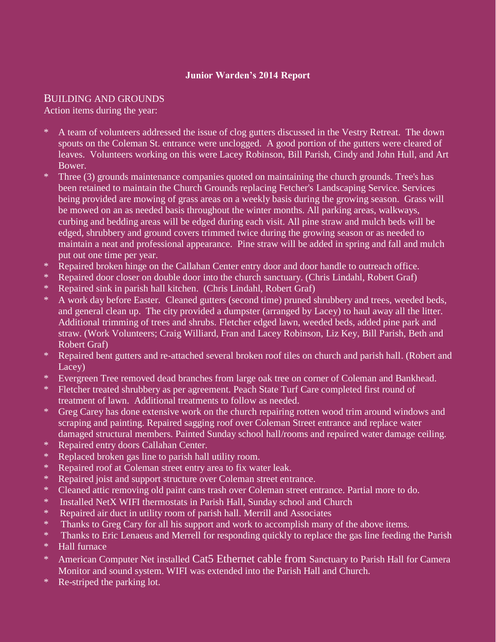## **Junior Warden's 2014 Report**

## BUILDING AND GROUNDS

Action items during the year:

- A team of volunteers addressed the issue of clog gutters discussed in the Vestry Retreat. The down spouts on the Coleman St. entrance were unclogged. A good portion of the gutters were cleared of leaves. Volunteers working on this were Lacey Robinson, Bill Parish, Cindy and John Hull, and Art Bower.
- \* Three (3) grounds maintenance companies quoted on maintaining the church grounds. Tree's has been retained to maintain the Church Grounds replacing Fetcher's Landscaping Service. Services being provided are mowing of grass areas on a weekly basis during the growing season. Grass will be mowed on an as needed basis throughout the winter months. All parking areas, walkways, curbing and bedding areas will be edged during each visit. All pine straw and mulch beds will be edged, shrubbery and ground covers trimmed twice during the growing season or as needed to maintain a neat and professional appearance. Pine straw will be added in spring and fall and mulch put out one time per year.
- \* Repaired broken hinge on the Callahan Center entry door and door handle to outreach office.
- \* Repaired door closer on double door into the church sanctuary. (Chris Lindahl, Robert Graf)
- \* Repaired sink in parish hall kitchen. (Chris Lindahl, Robert Graf)
- \* A work day before Easter. Cleaned gutters (second time) pruned shrubbery and trees, weeded beds, and general clean up. The city provided a dumpster (arranged by Lacey) to haul away all the litter. Additional trimming of trees and shrubs. Fletcher edged lawn, weeded beds, added pine park and straw. (Work Volunteers; Craig Williard, Fran and Lacey Robinson, Liz Key, Bill Parish, Beth and Robert Graf)
- \* Repaired bent gutters and re-attached several broken roof tiles on church and parish hall. (Robert and Lacey)
- \* Evergreen Tree removed dead branches from large oak tree on corner of Coleman and Bankhead.
- \* Fletcher treated shrubbery as per agreement. Peach State Turf Care completed first round of treatment of lawn. Additional treatments to follow as needed.
- \* Greg Carey has done extensive work on the church repairing rotten wood trim around windows and scraping and painting. Repaired sagging roof over Coleman Street entrance and replace water damaged structural members. Painted Sunday school hall/rooms and repaired water damage ceiling.
- \* Repaired entry doors Callahan Center.
- \* Replaced broken gas line to parish hall utility room.
- \* Repaired roof at Coleman street entry area to fix water leak.
- \* Repaired joist and support structure over Coleman street entrance.
- \* Cleaned attic removing old paint cans trash over Coleman street entrance. Partial more to do.
- \* Installed NetX WIFI thermostats in Parish Hall, Sunday school and Church
- \* Repaired air duct in utility room of parish hall. Merrill and Associates
- \* Thanks to Greg Cary for all his support and work to accomplish many of the above items.
- \* Thanks to Eric Lenaeus and Merrell for responding quickly to replace the gas line feeding the Parish
- \* Hall furnace
- \* American Computer Net installed Cat5 Ethernet cable from Sanctuary to Parish Hall for Camera Monitor and sound system. WIFI was extended into the Parish Hall and Church.
- \* Re-striped the parking lot.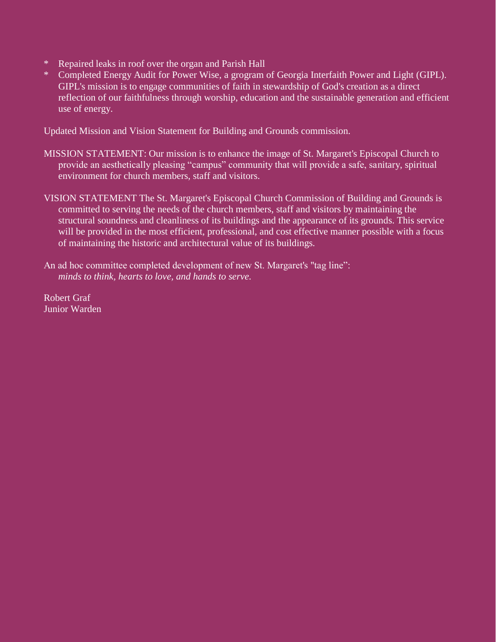- Repaired leaks in roof over the organ and Parish Hall
- \* Completed Energy Audit for Power Wise, a grogram of Georgia Interfaith Power and Light (GIPL). GIPL's mission is to engage communities of faith in stewardship of God's creation as a direct reflection of our faithfulness through worship, education and the sustainable generation and efficient use of energy.

Updated Mission and Vision Statement for Building and Grounds commission.

- MISSION STATEMENT: Our mission is to enhance the image of St. Margaret's Episcopal Church to provide an aesthetically pleasing "campus" community that will provide a safe, sanitary, spiritual environment for church members, staff and visitors.
- VISION STATEMENT The St. Margaret's Episcopal Church Commission of Building and Grounds is committed to serving the needs of the church members, staff and visitors by maintaining the structural soundness and cleanliness of its buildings and the appearance of its grounds. This service will be provided in the most efficient, professional, and cost effective manner possible with a focus of maintaining the historic and architectural value of its buildings.

An ad hoc committee completed development of new St. Margaret's "tag line":  *minds to think, hearts to love, and hands to serve.*

Robert Graf Junior Warden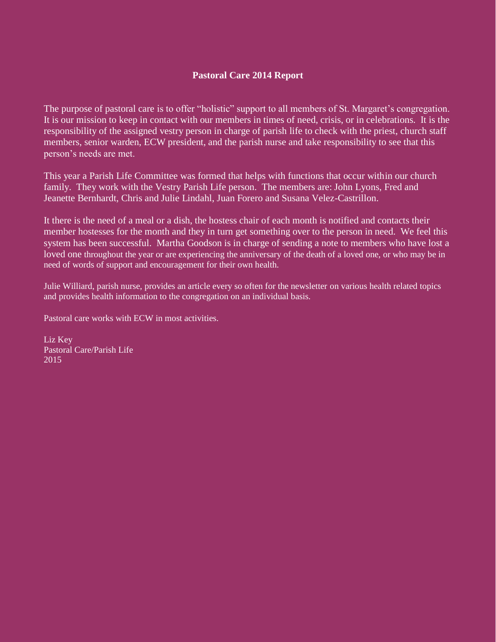## **Pastoral Care 2014 Report**

The purpose of pastoral care is to offer "holistic" support to all members of St. Margaret's congregation. It is our mission to keep in contact with our members in times of need, crisis, or in celebrations. It is the responsibility of the assigned vestry person in charge of parish life to check with the priest, church staff members, senior warden, ECW president, and the parish nurse and take responsibility to see that this person's needs are met.

This year a Parish Life Committee was formed that helps with functions that occur within our church family. They work with the Vestry Parish Life person. The members are: John Lyons, Fred and Jeanette Bernhardt, Chris and Julie Lindahl, Juan Forero and Susana Velez-Castrillon.

It there is the need of a meal or a dish, the hostess chair of each month is notified and contacts their member hostesses for the month and they in turn get something over to the person in need. We feel this system has been successful. Martha Goodson is in charge of sending a note to members who have lost a loved one throughout the year or are experiencing the anniversary of the death of a loved one, or who may be in need of words of support and encouragement for their own health.

Julie Williard, parish nurse, provides an article every so often for the newsletter on various health related topics and provides health information to the congregation on an individual basis.

Pastoral care works with ECW in most activities.

Liz Key Pastoral Care/Parish Life 2015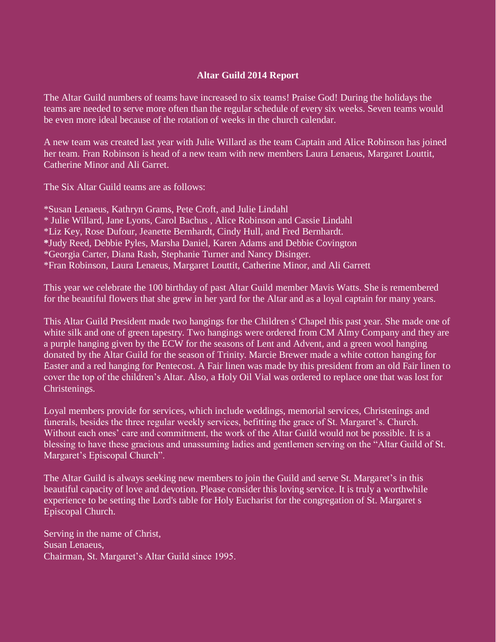#### **Altar Guild 2014 Report**

The Altar Guild numbers of teams have increased to six teams! Praise God! During the holidays the teams are needed to serve more often than the regular schedule of every six weeks. Seven teams would be even more ideal because of the rotation of weeks in the church calendar.

A new team was created last year with Julie Willard as the team Captain and Alice Robinson has joined her team. Fran Robinson is head of a new team with new members Laura Lenaeus, Margaret Louttit, Catherine Minor and Ali Garret.

The Six Altar Guild teams are as follows:

\*Susan Lenaeus, Kathryn Grams, Pete Croft, and Julie Lindahl \* Julie Willard, Jane Lyons, Carol Bachus , Alice Robinson and Cassie Lindahl \*Liz Key, Rose Dufour, Jeanette Bernhardt, Cindy Hull, and Fred Bernhardt. **\***Judy Reed, Debbie Pyles, Marsha Daniel, Karen Adams and Debbie Covington \*Georgia Carter, Diana Rash, Stephanie Turner and Nancy Disinger. \*Fran Robinson, Laura Lenaeus, Margaret Louttit, Catherine Minor, and Ali Garrett

This year we celebrate the 100 birthday of past Altar Guild member Mavis Watts. She is remembered for the beautiful flowers that she grew in her yard for the Altar and as a loyal captain for many years.

This Altar Guild President made two hangings for the Children s' Chapel this past year. She made one of white silk and one of green tapestry. Two hangings were ordered from CM Almy Company and they are a purple hanging given by the ECW for the seasons of Lent and Advent, and a green wool hanging donated by the Altar Guild for the season of Trinity. Marcie Brewer made a white cotton hanging for Easter and a red hanging for Pentecost. A Fair linen was made by this president from an old Fair linen to cover the top of the children's Altar. Also, a Holy Oil Vial was ordered to replace one that was lost for Christenings.

Loyal members provide for services, which include weddings, memorial services, Christenings and funerals, besides the three regular weekly services, befitting the grace of St. Margaret's. Church. Without each ones' care and commitment, the work of the Altar Guild would not be possible. It is a blessing to have these gracious and unassuming ladies and gentlemen serving on the "Altar Guild of St. Margaret's Episcopal Church".

The Altar Guild is always seeking new members to join the Guild and serve St. Margaret's in this beautiful capacity of love and devotion. Please consider this loving service. It is truly a worthwhile experience to be setting the Lord's table for Holy Eucharist for the congregation of St. Margaret s Episcopal Church.

Serving in the name of Christ, Susan Lenaeus, Chairman, St. Margaret's Altar Guild since 1995.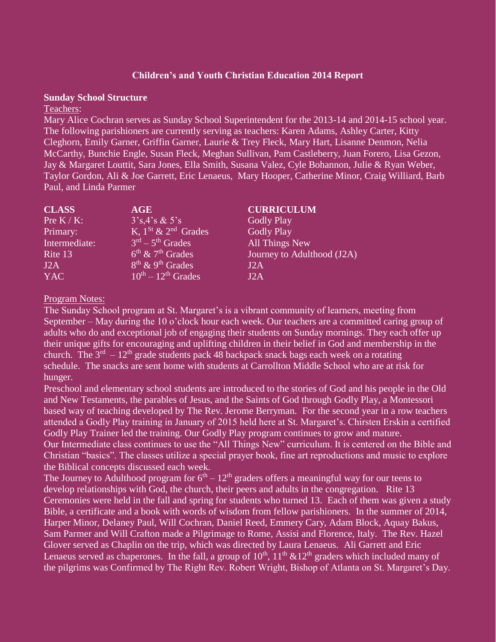### **Children's and Youth Christian Education 2014 Report**

#### **Sunday School Structure**

#### Teachers:

Mary Alice Cochran serves as Sunday School Superintendent for the 2013-14 and 2014-15 school year. The following parishioners are currently serving as teachers: Karen Adams, Ashley Carter, Kitty Cleghorn, Emily Garner, Griffin Garner, Laurie & Trey Fleck, Mary Hart, Lisanne Denmon, Nelia McCarthy, Bunchie Engle, Susan Fleck, Meghan Sullivan, Pam Castleberry, Juan Forero, Lisa Gezon, Jay & Margaret Louttit, Sara Jones, Ella Smith, Susana Valez, Cyle Bohannon, Julie & Ryan Weber, Taylor Gordon, Ali & Joe Garrett, Eric Lenaeus, Mary Hooper, Catherine Minor, Craig Williard, Barb Paul, and Linda Parmer

| <b>CLASS</b>  | AGE                                      | <b>CURRICULUM</b>          |
|---------------|------------------------------------------|----------------------------|
| Pre $K/K$ :   | $3's, 4's \& 5's$                        | <b>Godly Play</b>          |
| Primary:      | K, $1^{St}$ & $2^{nd}$ Grades            | <b>Godly Play</b>          |
| Intermediate: | $3rd - 5th$ Grades                       | All Things New             |
| Rite 13       | $6^{\text{th}}$ & $7^{\text{th}}$ Grades | Journey to Adulthood (J2A) |
| J2A           | $8th$ & 9 <sup>th</sup> Grades           | J2A                        |
| YAC           | $10^{th} - 12^{th}$ Grades               | J2A                        |

#### Program Notes:

The Sunday School program at St. Margaret's is a vibrant community of learners, meeting from September – May during the 10 o'clock hour each week. Our teachers are a committed caring group of adults who do and exceptional job of engaging their students on Sunday mornings. They each offer up their unique gifts for encouraging and uplifting children in their belief in God and membership in the church. The  $3<sup>rd</sup> - 12<sup>th</sup>$  grade students pack 48 backpack snack bags each week on a rotating schedule. The snacks are sent home with students at Carrollton Middle School who are at risk for hunger.

Preschool and elementary school students are introduced to the stories of God and his people in the Old and New Testaments, the parables of Jesus, and the Saints of God through Godly Play, a Montessori based way of teaching developed by The Rev. Jerome Berryman. For the second year in a row teachers attended a Godly Play training in January of 2015 held here at St. Margaret's. Chirsten Erskin a certified Godly Play Trainer led the training. Our Godly Play program continues to grow and mature. Our Intermediate class continues to use the "All Things New" curriculum. It is centered on the Bible and Christian "basics". The classes utilize a special prayer book, fine art reproductions and music to explore the Biblical concepts discussed each week.

The Journey to Adulthood program for  $6<sup>th</sup> - 12<sup>th</sup>$  graders offers a meaningful way for our teens to develop relationships with God, the church, their peers and adults in the congregation. Rite 13 Ceremonies were held in the fall and spring for students who turned 13. Each of them was given a study Bible, a certificate and a book with words of wisdom from fellow parishioners. In the summer of 2014, Harper Minor, Delaney Paul, Will Cochran, Daniel Reed, Emmery Cary, Adam Block, Aquay Bakus, Sam Parmer and Will Crafton made a Pilgrimage to Rome, Assisi and Florence, Italy. The Rev. Hazel Glover served as Chaplin on the trip, which was directed by Laura Lenaeus. Ali Garrett and Eric Lenaeus served as chaperones. In the fall, a group of  $10<sup>th</sup>$ ,  $11<sup>th</sup>$  &12<sup>th</sup> graders which included many of the pilgrims was Confirmed by The Right Rev. Robert Wright, Bishop of Atlanta on St. Margaret's Day.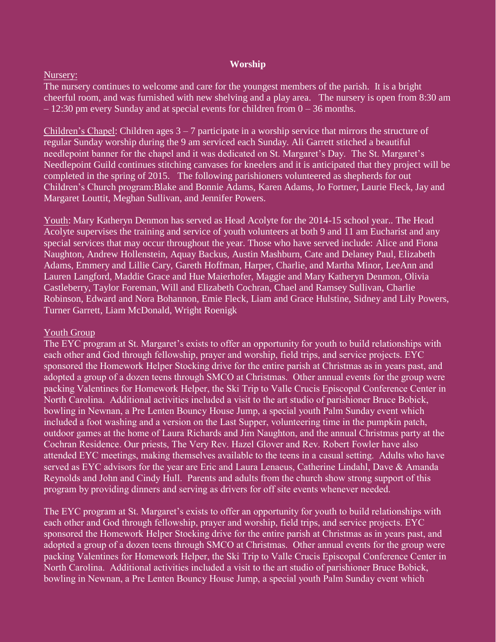#### **Worship**

#### Nursery:

The nursery continues to welcome and care for the youngest members of the parish. It is a bright cheerful room, and was furnished with new shelving and a play area. The nursery is open from 8:30 am  $-12:30$  pm every Sunday and at special events for children from  $0 - 36$  months.

Children's Chapel: Children ages 3 – 7 participate in a worship service that mirrors the structure of regular Sunday worship during the 9 am serviced each Sunday. Ali Garrett stitched a beautiful needlepoint banner for the chapel and it was dedicated on St. Margaret's Day. The St. Margaret's Needlepoint Guild continues stitching canvases for kneelers and it is anticipated that they project will be completed in the spring of 2015. The following parishioners volunteered as shepherds for out Children's Church program:Blake and Bonnie Adams, Karen Adams, Jo Fortner, Laurie Fleck, Jay and Margaret Louttit, Meghan Sullivan, and Jennifer Powers.

Youth: Mary Katheryn Denmon has served as Head Acolyte for the 2014-15 school year.. The Head Acolyte supervises the training and service of youth volunteers at both 9 and 11 am Eucharist and any special services that may occur throughout the year. Those who have served include: Alice and Fiona Naughton, Andrew Hollenstein, Aquay Backus, Austin Mashburn, Cate and Delaney Paul, Elizabeth Adams, Emmery and Lillie Cary, Gareth Hoffman, Harper, Charlie, and Martha Minor, LeeAnn and Lauren Langford, Maddie Grace and Hue Maierhofer, Maggie and Mary Katheryn Denmon, Olivia Castleberry, Taylor Foreman, Will and Elizabeth Cochran, Chael and Ramsey Sullivan, Charlie Robinson, Edward and Nora Bohannon, Emie Fleck, Liam and Grace Hulstine, Sidney and Lily Powers, Turner Garrett, Liam McDonald, Wright Roenigk

#### Youth Group

The EYC program at St. Margaret's exists to offer an opportunity for youth to build relationships with each other and God through fellowship, prayer and worship, field trips, and service projects. EYC sponsored the Homework Helper Stocking drive for the entire parish at Christmas as in years past, and adopted a group of a dozen teens through SMCO at Christmas. Other annual events for the group were packing Valentines for Homework Helper, the Ski Trip to Valle Crucis Episcopal Conference Center in North Carolina. Additional activities included a visit to the art studio of parishioner Bruce Bobick, bowling in Newnan, a Pre Lenten Bouncy House Jump, a special youth Palm Sunday event which included a foot washing and a version on the Last Supper, volunteering time in the pumpkin patch, outdoor games at the home of Laura Richards and Jim Naughton, and the annual Christmas party at the Cochran Residence. Our priests, The Very Rev. Hazel Glover and Rev. Robert Fowler have also attended EYC meetings, making themselves available to the teens in a casual setting. Adults who have served as EYC advisors for the year are Eric and Laura Lenaeus, Catherine Lindahl, Dave & Amanda Reynolds and John and Cindy Hull. Parents and adults from the church show strong support of this program by providing dinners and serving as drivers for off site events whenever needed.

The EYC program at St. Margaret's exists to offer an opportunity for youth to build relationships with each other and God through fellowship, prayer and worship, field trips, and service projects. EYC sponsored the Homework Helper Stocking drive for the entire parish at Christmas as in years past, and adopted a group of a dozen teens through SMCO at Christmas. Other annual events for the group were packing Valentines for Homework Helper, the Ski Trip to Valle Crucis Episcopal Conference Center in North Carolina. Additional activities included a visit to the art studio of parishioner Bruce Bobick, bowling in Newnan, a Pre Lenten Bouncy House Jump, a special youth Palm Sunday event which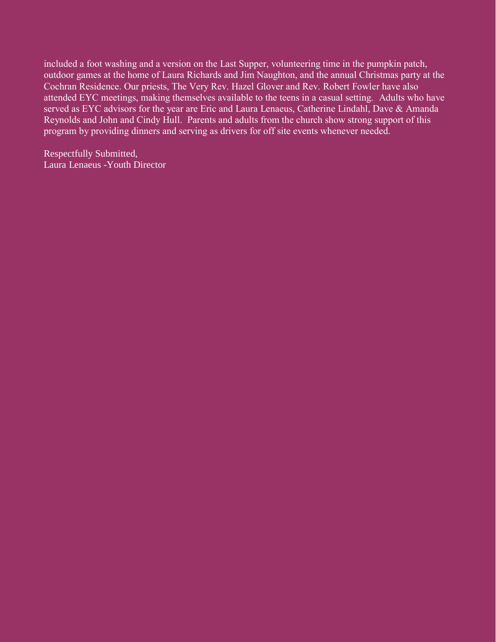included a foot washing and a version on the Last Supper, volunteering time in the pumpkin patch, outdoor games at the home of Laura Richards and Jim Naughton, and the annual Christmas party at the Cochran Residence. Our priests, The Very Rev. Hazel Glover and Rev. Robert Fowler have also attended EYC meetings, making themselves available to the teens in a casual setting. Adults who have served as EYC advisors for the year are Eric and Laura Lenaeus, Catherine Lindahl, Dave & Amanda Reynolds and John and Cindy Hull. Parents and adults from the church show strong support of this program by providing dinners and serving as drivers for off site events whenever needed.

Respectfully Submitted, Laura Lenaeus -Youth Director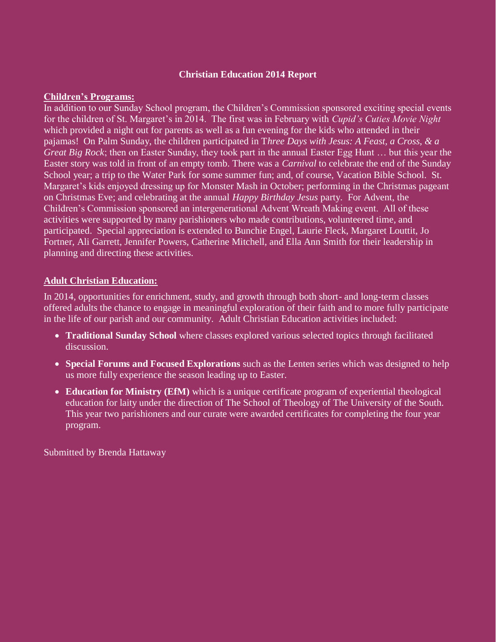## **Christian Education 2014 Report**

#### **Children's Programs:**

In addition to our Sunday School program, the Children's Commission sponsored exciting special events for the children of St. Margaret's in 2014. The first was in February with *Cupid's Cuties Movie Night* which provided a night out for parents as well as a fun evening for the kids who attended in their pajamas! On Palm Sunday, the children participated in T*hree Days with Jesus: A Feast, a Cross, & a Great Big Rock*; then on Easter Sunday, they took part in the annual Easter Egg Hunt … but this year the Easter story was told in front of an empty tomb. There was a *Carnival* to celebrate the end of the Sunday School year; a trip to the Water Park for some summer fun; and, of course, Vacation Bible School. St. Margaret's kids enjoyed dressing up for Monster Mash in October; performing in the Christmas pageant on Christmas Eve; and celebrating at the annual *Happy Birthday Jesus* party. For Advent, the Children's Commission sponsored an intergenerational Advent Wreath Making event. All of these activities were supported by many parishioners who made contributions, volunteered time, and participated. Special appreciation is extended to Bunchie Engel, Laurie Fleck, Margaret Louttit, Jo Fortner, Ali Garrett, Jennifer Powers, Catherine Mitchell, and Ella Ann Smith for their leadership in planning and directing these activities.

### **Adult Christian Education:**

In 2014, opportunities for enrichment, study, and growth through both short- and long-term classes offered adults the chance to engage in meaningful exploration of their faith and to more fully participate in the life of our parish and our community. Adult Christian Education activities included:

- **Traditional Sunday School** where classes explored various selected topics through facilitated discussion.
- **Special Forums and Focused Explorations** such as the Lenten series which was designed to help us more fully experience the season leading up to Easter.
- **Education for Ministry (EfM)** which is a unique certificate program of experiential theological education for laity under the direction of The School of Theology of The University of the South. This year two parishioners and our curate were awarded certificates for completing the four year program.

Submitted by Brenda Hattaway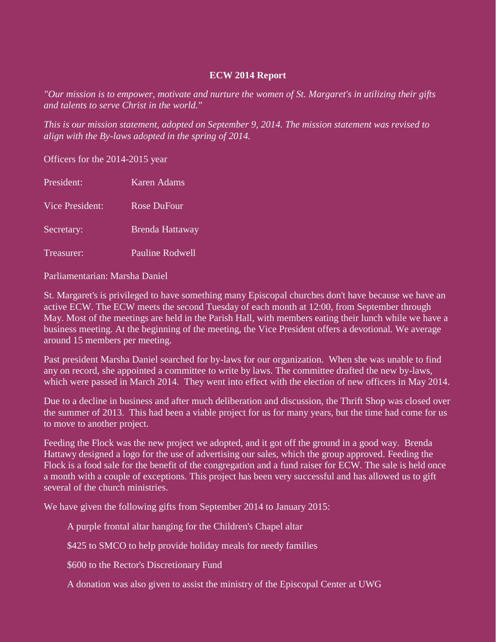### **ECW 2014 Report**

*"Our mission is to empower, motivate and nurture the women of St. Margaret's in utilizing their gifts and talents to serve Christ in the world."*

*This is our mission statement, adopted on September 9, 2014. The mission statement was revised to align with the By-laws adopted in the spring of 2014.*

Officers for the 2014-2015 year

| President:      | <b>Karen Adams</b>     |
|-----------------|------------------------|
| Vice President: | <b>Rose DuFour</b>     |
| Secretary:      | <b>Brenda Hattaway</b> |
| Treasurer:      | Pauline Rodwell        |

Parliamentarian: Marsha Daniel

St. Margaret's is privileged to have something many Episcopal churches don't have because we have an active ECW. The ECW meets the second Tuesday of each month at 12:00, from September through May. Most of the meetings are held in the Parish Hall, with members eating their lunch while we have a business meeting. At the beginning of the meeting, the Vice President offers a devotional. We average around 15 members per meeting.

Past president Marsha Daniel searched for by-laws for our organization. When she was unable to find any on record, she appointed a committee to write by laws. The committee drafted the new by-laws, which were passed in March 2014. They went into effect with the election of new officers in May 2014.

Due to a decline in business and after much deliberation and discussion, the Thrift Shop was closed over the summer of 2013. This had been a viable project for us for many years, but the time had come for us to move to another project.

Feeding the Flock was the new project we adopted, and it got off the ground in a good way. Brenda Hattawy designed a logo for the use of advertising our sales, which the group approved. Feeding the Flock is a food sale for the benefit of the congregation and a fund raiser for ECW. The sale is held once a month with a couple of exceptions. This project has been very successful and has allowed us to gift several of the church ministries.

We have given the following gifts from September 2014 to January 2015:

A purple frontal altar hanging for the Children's Chapel altar

\$425 to SMCO to help provide holiday meals for needy families

\$600 to the Rector's Discretionary Fund

A donation was also given to assist the ministry of the Episcopal Center at UWG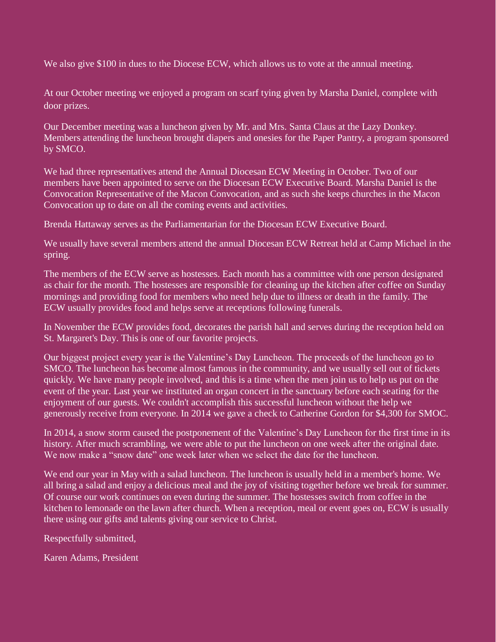We also give \$100 in dues to the Diocese ECW, which allows us to vote at the annual meeting.

At our October meeting we enjoyed a program on scarf tying given by Marsha Daniel, complete with door prizes.

Our December meeting was a luncheon given by Mr. and Mrs. Santa Claus at the Lazy Donkey. Members attending the luncheon brought diapers and onesies for the Paper Pantry, a program sponsored by SMCO.

We had three representatives attend the Annual Diocesan ECW Meeting in October. Two of our members have been appointed to serve on the Diocesan ECW Executive Board. Marsha Daniel is the Convocation Representative of the Macon Convocation, and as such she keeps churches in the Macon Convocation up to date on all the coming events and activities.

Brenda Hattaway serves as the Parliamentarian for the Diocesan ECW Executive Board.

We usually have several members attend the annual Diocesan ECW Retreat held at Camp Michael in the spring.

The members of the ECW serve as hostesses. Each month has a committee with one person designated as chair for the month. The hostesses are responsible for cleaning up the kitchen after coffee on Sunday mornings and providing food for members who need help due to illness or death in the family. The ECW usually provides food and helps serve at receptions following funerals.

In November the ECW provides food, decorates the parish hall and serves during the reception held on St. Margaret's Day. This is one of our favorite projects.

Our biggest project every year is the Valentine's Day Luncheon. The proceeds of the luncheon go to SMCO. The luncheon has become almost famous in the community, and we usually sell out of tickets quickly. We have many people involved, and this is a time when the men join us to help us put on the event of the year. Last year we instituted an organ concert in the sanctuary before each seating for the enjoyment of our guests. We couldn't accomplish this successful luncheon without the help we generously receive from everyone. In 2014 we gave a check to Catherine Gordon for \$4,300 for SMOC.

In 2014, a snow storm caused the postponement of the Valentine's Day Luncheon for the first time in its history. After much scrambling, we were able to put the luncheon on one week after the original date. We now make a "snow date" one week later when we select the date for the luncheon.

We end our year in May with a salad luncheon. The luncheon is usually held in a member's home. We all bring a salad and enjoy a delicious meal and the joy of visiting together before we break for summer. Of course our work continues on even during the summer. The hostesses switch from coffee in the kitchen to lemonade on the lawn after church. When a reception, meal or event goes on, ECW is usually there using our gifts and talents giving our service to Christ.

Respectfully submitted,

Karen Adams, President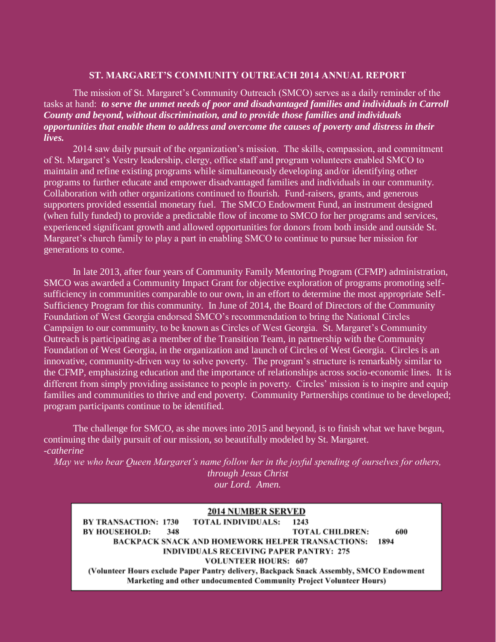#### **ST. MARGARET'S COMMUNITY OUTREACH 2014 ANNUAL REPORT**

The mission of St. Margaret's Community Outreach (SMCO) serves as a daily reminder of the tasks at hand: *to serve the unmet needs of poor and disadvantaged families and individuals in Carroll County and beyond, without discrimination, and to provide those families and individuals opportunities that enable them to address and overcome the causes of poverty and distress in their lives.* 

2014 saw daily pursuit of the organization's mission. The skills, compassion, and commitment of St. Margaret's Vestry leadership, clergy, office staff and program volunteers enabled SMCO to maintain and refine existing programs while simultaneously developing and/or identifying other programs to further educate and empower disadvantaged families and individuals in our community. Collaboration with other organizations continued to flourish. Fund-raisers, grants, and generous supporters provided essential monetary fuel. The SMCO Endowment Fund, an instrument designed (when fully funded) to provide a predictable flow of income to SMCO for her programs and services, experienced significant growth and allowed opportunities for donors from both inside and outside St. Margaret's church family to play a part in enabling SMCO to continue to pursue her mission for generations to come.

In late 2013, after four years of Community Family Mentoring Program (CFMP) administration, SMCO was awarded a Community Impact Grant for objective exploration of programs promoting selfsufficiency in communities comparable to our own, in an effort to determine the most appropriate Self-Sufficiency Program for this community. In June of 2014, the Board of Directors of the Community Foundation of West Georgia endorsed SMCO's recommendation to bring the National Circles Campaign to our community, to be known as Circles of West Georgia. St. Margaret's Community Outreach is participating as a member of the Transition Team, in partnership with the Community Foundation of West Georgia, in the organization and launch of Circles of West Georgia. Circles is an innovative, community-driven way to solve poverty. The program's structure is remarkably similar to the CFMP, emphasizing education and the importance of relationships across socio-economic lines. It is different from simply providing assistance to people in poverty. Circles' mission is to inspire and equip families and communities to thrive and end poverty. Community Partnerships continue to be developed; program participants continue to be identified.

The challenge for SMCO, as she moves into 2015 and beyond, is to finish what we have begun, continuing the daily pursuit of our mission, so beautifully modeled by St. Margaret. *-catherine*

*May we who bear Queen Margaret's name follow her in the joyful spending of ourselves for others, through Jesus Christ our Lord. Amen.*

#### **2014 NUMBER SERVED**

**BY TRANSACTION: 1730 TOTAL INDIVIDUALS:** 1243 **BY HOUSEHOLD:** 348 **TOTAL CHILDREN:** 600 **BACKPACK SNACK AND HOMEWORK HELPER TRANSACTIONS:** 1894 **INDIVIDUALS RECEIVING PAPER PANTRY: 275 VOLUNTEER HOURS: 607** (Volunteer Hours exclude Paper Pantry delivery, Backpack Snack Assembly, SMCO Endowment Marketing and other undocumented Community Project Volunteer Hours)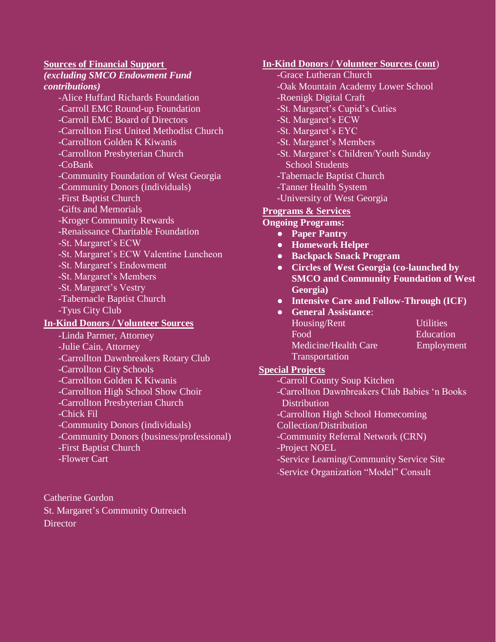### **Sources of Financial Support**

#### *(excluding SMCO Endowment Fund contributions)*

-Alice Huffard Richards Foundation -Carroll EMC Round-up Foundation -Carroll EMC Board of Directors -Carrollton First United Methodist Church -Carrollton Golden K Kiwanis -Carrollton Presbyterian Church -CoBank -Community Foundation of West Georgia -Community Donors (individuals) -First Baptist Church -Gifts and Memorials -Kroger Community Rewards -Renaissance Charitable Foundation -St. Margaret's ECW -St. Margaret's ECW Valentine Luncheon -St. Margaret's Endowment -St. Margaret's Members -St. Margaret's Vestry -Tabernacle Baptist Church -Tyus City Club

## **In-Kind Donors / Volunteer Sources**

- -Linda Parmer, Attorney
- -Julie Cain, Attorney
- -Carrollton Dawnbreakers Rotary Club
- -Carrollton City Schools
- -Carrollton Golden K Kiwanis
- -Carrollton High School Show Choir
- -Carrollton Presbyterian Church
- -Chick Fil
- -Community Donors (individuals)
- -Community Donors (business/professional)
- -First Baptist Church
- -Flower Cart

Catherine Gordon St. Margaret's Community Outreach **Director** 

## **In-Kind Donors / Volunteer Sources (cont**)

- -Grace Lutheran Church -Oak Mountain Academy Lower School -Roenigk Digital Craft -St. Margaret's Cupid's Cuties -St. Margaret's ECW -St. Margaret's EYC -St. Margaret's Members -St. Margaret's Children/Youth Sunday School Students
- -Tabernacle Baptist Church
- -Tanner Health System
- -University of West Georgia

## **Programs & Services**

## **Ongoing Programs:**

- **Paper Pantry**
- **Homework Helper**
- **Backpack Snack Program**
- **Circles of West Georgia (co-launched by SMCO and Community Foundation of West Georgia)**
- **Intensive Care and Follow-Through (ICF)**
- **General Assistance**: Housing/Rent Utilities Food Education Medicine/Health Care Employment **Transportation**

## **Special Projects**

- -Carroll County Soup Kitchen
- -Carrollton Dawnbreakers Club Babies 'n Books **Distribution**
- -Carrollton High School Homecoming
- Collection/Distribution
- -Community Referral Network (CRN)
- -Project NOEL
- -Service Learning/Community Service Site
- -Service Organization "Model" Consult